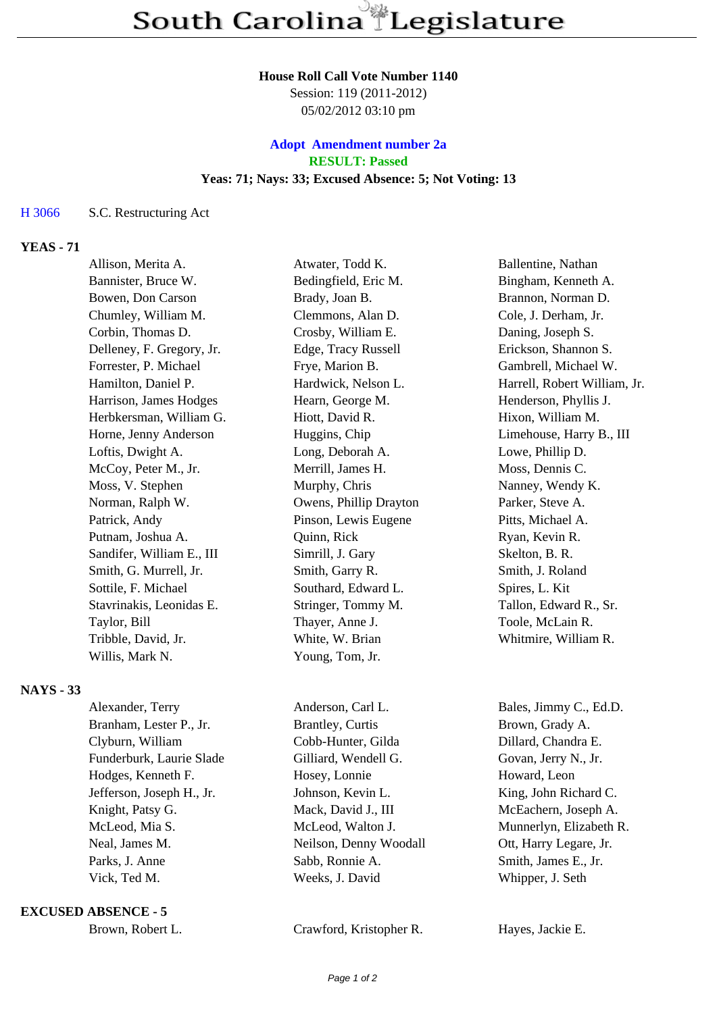#### **House Roll Call Vote Number 1140**

Session: 119 (2011-2012) 05/02/2012 03:10 pm

## **Adopt Amendment number 2a RESULT: Passed Yeas: 71; Nays: 33; Excused Absence: 5; Not Voting: 13**

### H 3066 S.C. Restructuring Act

### **YEAS - 71**

| Allison, Merita A.        | Atwater, Todd K.       | Ballentine, Nathan           |
|---------------------------|------------------------|------------------------------|
| Bannister, Bruce W.       | Bedingfield, Eric M.   | Bingham, Kenneth A.          |
| Bowen, Don Carson         | Brady, Joan B.         | Brannon, Norman D.           |
| Chumley, William M.       | Clemmons, Alan D.      | Cole, J. Derham, Jr.         |
| Corbin, Thomas D.         | Crosby, William E.     | Daning, Joseph S.            |
| Delleney, F. Gregory, Jr. | Edge, Tracy Russell    | Erickson, Shannon S.         |
| Forrester, P. Michael     | Frye, Marion B.        | Gambrell, Michael W.         |
| Hamilton, Daniel P.       | Hardwick, Nelson L.    | Harrell, Robert William, Jr. |
| Harrison, James Hodges    | Hearn, George M.       | Henderson, Phyllis J.        |
| Herbkersman, William G.   | Hiott, David R.        | Hixon, William M.            |
| Horne, Jenny Anderson     | Huggins, Chip          | Limehouse, Harry B., III     |
| Loftis, Dwight A.         | Long, Deborah A.       | Lowe, Phillip D.             |
| McCoy, Peter M., Jr.      | Merrill, James H.      | Moss, Dennis C.              |
| Moss, V. Stephen          | Murphy, Chris          | Nanney, Wendy K.             |
| Norman, Ralph W.          | Owens, Phillip Drayton | Parker, Steve A.             |
| Patrick, Andy             | Pinson, Lewis Eugene   | Pitts, Michael A.            |
| Putnam, Joshua A.         | Quinn, Rick            | Ryan, Kevin R.               |
| Sandifer, William E., III | Simrill, J. Gary       | Skelton, B. R.               |
| Smith, G. Murrell, Jr.    | Smith, Garry R.        | Smith, J. Roland             |
| Sottile, F. Michael       | Southard, Edward L.    | Spires, L. Kit               |
| Stavrinakis, Leonidas E.  | Stringer, Tommy M.     | Tallon, Edward R., Sr.       |
| Taylor, Bill              | Thayer, Anne J.        | Toole, McLain R.             |
| Tribble, David, Jr.       | White, W. Brian        | Whitmire, William R.         |
| Willis, Mark N.           | Young, Tom, Jr.        |                              |
|                           |                        |                              |

### **NAYS - 33**

| Alexander, Terry          | Anderson, Carl L.       | Bales, Jimmy C., Ed.D.  |
|---------------------------|-------------------------|-------------------------|
| Branham, Lester P., Jr.   | <b>Brantley, Curtis</b> | Brown, Grady A.         |
| Clyburn, William          | Cobb-Hunter, Gilda      | Dillard, Chandra E.     |
| Funderburk, Laurie Slade  | Gilliard, Wendell G.    | Govan, Jerry N., Jr.    |
| Hodges, Kenneth F.        | Hosey, Lonnie           | Howard, Leon            |
| Jefferson, Joseph H., Jr. | Johnson, Kevin L.       | King, John Richard C.   |
| Knight, Patsy G.          | Mack, David J., III     | McEachern, Joseph A.    |
| McLeod, Mia S.            | McLeod, Walton J.       | Munnerlyn, Elizabeth R. |
| Neal, James M.            | Neilson, Denny Woodall  | Ott, Harry Legare, Jr.  |
| Parks, J. Anne            | Sabb, Ronnie A.         | Smith, James E., Jr.    |
| Vick, Ted M.              | Weeks, J. David         | Whipper, J. Seth        |
|                           |                         |                         |

### **EXCUSED ABSENCE - 5**

Brown, Robert L. Crawford, Kristopher R. Hayes, Jackie E.